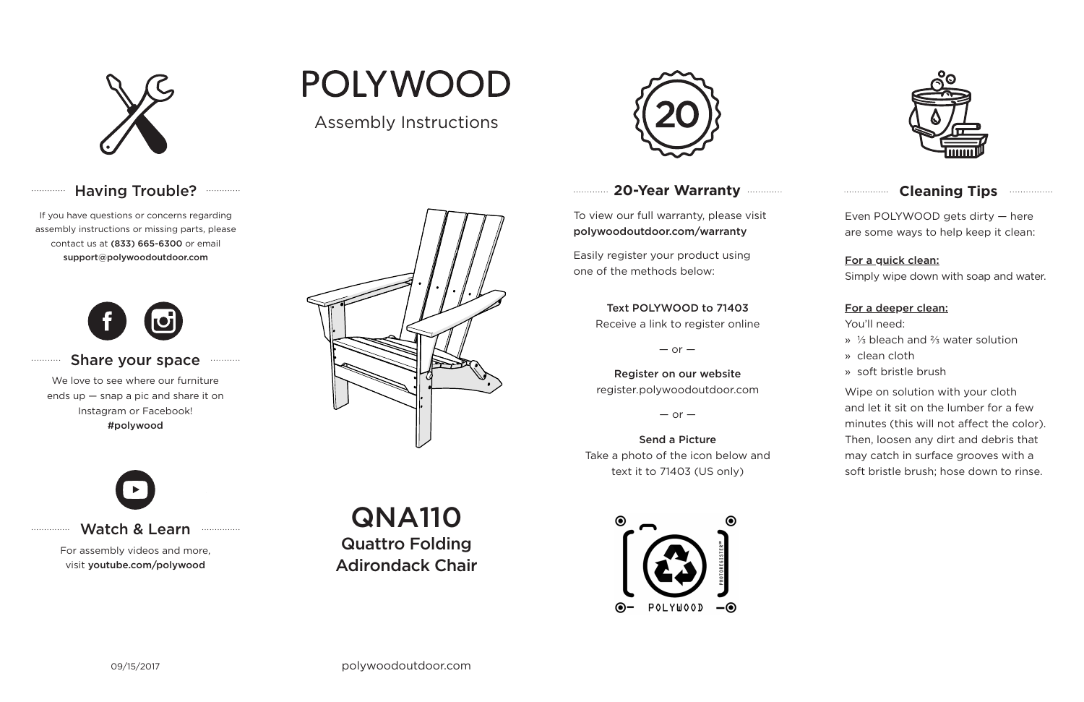

# Having Trouble? ............

# **20-Year Warranty**

To view our full warranty, please visit polywoodoutdoor.com/warranty

Easily register your product using one of the methods below:

Even POLYWOOD gets dirty — here are some ways to help keep it clean:

## For a quick clean:

Simply wipe down with soap and water.

### For a deeper clean:

You'll need:

- » ⅓ bleach and ⅔ water solution
- » clean cloth
- » soft bristle brush

Wipe on solution with your cloth and let it sit on the lumber for a few minutes (this will not affect the color). Then, loosen any dirt and debris that may catch in surface grooves with a soft bristle brush; hose down to rinse.

#### Share your space . . . . . . . . . . .

## Text POLYWOOD to 71403

Receive a link to register online

 $-$  or  $-$ 

Register on our website register.polywoodoutdoor.com

 $-$  or  $-$ 

Send a Picture Take a photo of the icon below and text it to 71403 (US only)





# **Cleaning Tips <b>Cleaning**</u>

## Watch & Learn

For assembly videos and more, visit youtube.com/polywood

If you have questions or concerns regarding assembly instructions or missing parts, please contact us at (833) 665-6300 or email support@polywoodoutdoor.com

. . . . . . . . . . . . .

. . . . . . . . . . .

. . . . . . . . . . . . . . .



We love to see where our furniture ends up — snap a pic and share it on Instagram or Facebook! #polywood



Assembly Instructions

**POLYWOOD** 



QNA110 Quattro Folding Adirondack Chair